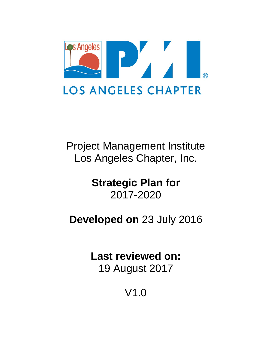

Project Management Institute Los Angeles Chapter, Inc.

> **Strategic Plan for**  2017-2020

**Developed on** 23 July 2016

**Last reviewed on:**  19 August 2017

V1.0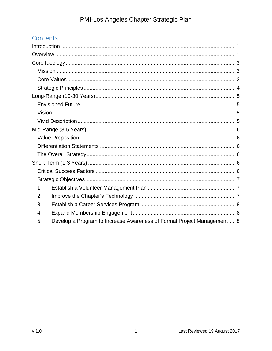# Contents

| 1.                                                                           |
|------------------------------------------------------------------------------|
| 2.                                                                           |
| 3.                                                                           |
| 4.                                                                           |
| Develop a Program to Increase Awareness of Formal Project Management 8<br>5. |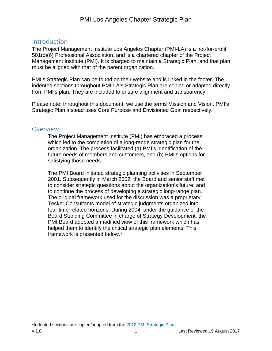## Introduction

The Project Management Institute Los Angeles Chapter (PMI-LA) is a not-for-profit 501(c)(6) Professional Association, and is a chartered chapter of the Project Management Institute (PMI). It is charged to maintain a Strategic Plan, and that plan must be aligned with that of the parent organization.

PMI's Strategic Plan can be found on their website and is linked in the footer. The indented sections throughout PMI-LA's Strategic Plan are copied or adapted directly from PMI's plan. They are included to ensure alignment and transparency.

Please note: throughout this document, we use the terms Mission and Vision. PMI's Strategic Plan instead uses Core Purpose and Envisioned Goal respectively.

### **Overview**

The Project Management Institute (PMI) has embraced a process which led to the completion of a long-range strategic plan for the organization. The process facilitated (a) PMI's identification of the future needs of members and customers, and (b) PMI's options for satisfying those needs.

The PMI Board initiated strategic planning activities in September 2001. Subsequently in March 2002, the Board and senior staff met to consider strategic questions about the organization's future, and to continue the process of developing a strategic long-range plan. The original framework used for the discussion was a proprietary Tecker Consultants model of strategic judgments organized into four time-related horizons. During 2004, under the guidance of the Board Standing Committee in charge of Strategy Development, the PMI Board adopted a modified view of this framework which has helped them to identify the critical strategic plan elements. This framework is presented below.\*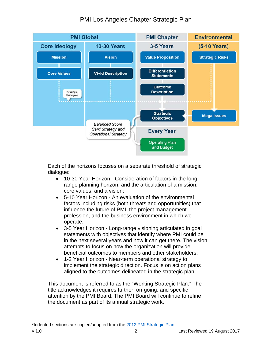# PMI-Los Angeles Chapter Strategic Plan



Each of the horizons focuses on a separate threshold of strategic dialogue:

- 10-30 Year Horizon Consideration of factors in the longrange planning horizon, and the articulation of a mission, core values, and a vision;
- 5-10 Year Horizon An evaluation of the environmental factors including risks (both threats and opportunities) that influence the future of PMI, the project management profession, and the business environment in which we operate;
- 3-5 Year Horizon Long-range visioning articulated in goal statements with objectives that identify where PMI could be in the next several years and how it can get there. The vision attempts to focus on how the organization will provide beneficial outcomes to members and other stakeholders;
- 1-2 Year Horizon Near-term operational strategy to implement the strategic direction. Focus is on action plans aligned to the outcomes delineated in the strategic plan.

This document is referred to as the "Working Strategic Plan." The title acknowledges it requires further, on-going, and specific attention by the PMI Board. The PMI Board will continue to refine the document as part of its annual strategic work.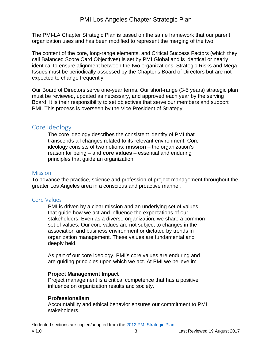The PMI-LA Chapter Strategic Plan is based on the same framework that our parent organization uses and has been modified to represent the merging of the two.

The content of the core, long-range elements, and Critical Success Factors (which they call Balanced Score Card Objectives) is set by PMI Global and is identical or nearly identical to ensure alignment between the two organizations. Strategic Risks and Mega Issues must be periodically assessed by the Chapter's Board of Directors but are not expected to change frequently.

Our Board of Directors serve one-year terms. Our short-range (3-5 years) strategic plan must be reviewed, updated as necessary, and approved each year by the serving Board. It is their responsibility to set objectives that serve our members and support PMI. This process is overseen by the Vice President of Strategy.

## Core Ideology

The core ideology describes the consistent identity of PMI that transcends all changes related to its relevant environment. Core ideology consists of two notions: **mission** – the organization's reason for being – and **core values** – essential and enduring principles that guide an organization.

#### **Mission**

To advance the practice, science and profession of project management throughout the greater Los Angeles area in a conscious and proactive manner.

#### Core Values

PMI is driven by a clear mission and an underlying set of values that guide how we act and influence the expectations of our stakeholders. Even as a diverse organization, we share a common set of values. Our core values are not subject to changes in the association and business environment or dictated by trends in organization management. These values are fundamental and deeply held.

As part of our core ideology, PMI's core values are enduring and are guiding principles upon which we act. At PMI we believe in:

#### **Project Management Impact**

Project management is a critical competence that has a positive influence on organization results and society.

#### **Professionalism**

Accountability and ethical behavior ensures our commitment to PMI stakeholders.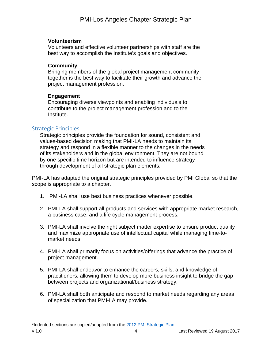#### **Volunteerism**

Volunteers and effective volunteer partnerships with staff are the best way to accomplish the Institute's goals and objectives.

#### **Community**

Bringing members of the global project management community together is the best way to facilitate their growth and advance the project management profession.

#### **Engagement**

Encouraging diverse viewpoints and enabling individuals to contribute to the project management profession and to the Institute.

#### Strategic Principles

Strategic principles provide the foundation for sound, consistent and values-based decision making that PMI-LA needs to maintain its strategy and respond in a flexible manner to the changes in the needs of its stakeholders and in the global environment. They are not bound by one specific time horizon but are intended to influence strategy through development of all strategic plan elements.

PMI-LA has adapted the original strategic principles provided by PMI Global so that the scope is appropriate to a chapter.

- 1. PMI-LA shall use best business practices whenever possible.
- 2. PMI-LA shall support all products and services with appropriate market research, a business case, and a life cycle management process.
- 3. PMI-LA shall involve the right subject matter expertise to ensure product quality and maximize appropriate use of intellectual capital while managing time-tomarket needs.
- 4. PMI-LA shall primarily focus on activities/offerings that advance the practice of project management.
- 5. PMI-LA shall endeavor to enhance the careers, skills, and knowledge of practitioners, allowing them to develop more business insight to bridge the gap between projects and organizational/business strategy.
- 6. PMI-LA shall both anticipate and respond to market needs regarding any areas of specialization that PMI-LA may provide.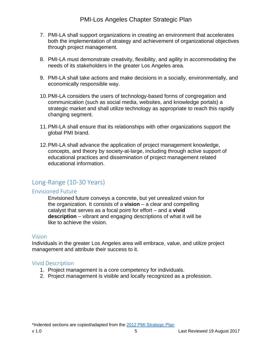## PMI-Los Angeles Chapter Strategic Plan

- 7. PMI-LA shall support organizations in creating an environment that accelerates both the implementation of strategy and achievement of organizational objectives through project management.
- 8. PMI-LA must demonstrate creativity, flexibility, and agility in accommodating the needs of its stakeholders in the greater Los Angeles area.
- 9. PMI-LA shall take actions and make decisions in a socially, environmentally, and economically responsible way.
- 10. PMI-LA considers the users of technology-based forms of congregation and communication (such as social media, websites, and knowledge portals) a strategic market and shall utilize technology as appropriate to reach this rapidly changing segment.
- 11. PMI-LA shall ensure that its relationships with other organizations support the global PMI brand.
- 12. PMI-LA shall advance the application of project management knowledge, concepts, and theory by society-at-large, including through active support of educational practices and dissemination of project management related educational information.

## Long‐Range (10‐30 Years)

#### Envisioned Future

Envisioned future conveys a concrete, but yet unrealized vision for the organization. It consists of a **vision** – a clear and compelling catalyst that serves as a focal point for effort – and a **vivid description** – vibrant and engaging descriptions of what it will be like to achieve the vision.

#### Vision

Individuals in the greater Los Angeles area will embrace, value, and utilize project management and attribute their success to it.

#### Vivid Description

- 1. Project management is a core competency for individuals.
- 2. Project management is visible and locally recognized as a profession.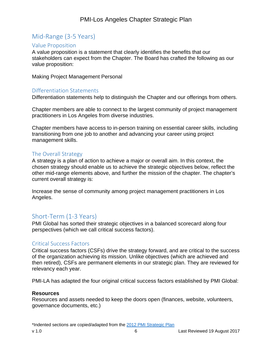# Mid‐Range (3‐5 Years)

#### Value Proposition

A value proposition is a statement that clearly identifies the benefits that our stakeholders can expect from the Chapter. The Board has crafted the following as our value proposition:

Making Project Management Personal

#### Differentiation Statements

Differentiation statements help to distinguish the Chapter and our offerings from others.

Chapter members are able to connect to the largest community of project management practitioners in Los Angeles from diverse industries.

Chapter members have access to in-person training on essential career skills, including transitioning from one job to another and advancing your career using project management skills.

#### The Overall Strategy

A strategy is a plan of action to achieve a major or overall aim. In this context, the chosen strategy should enable us to achieve the strategic objectives below, reflect the other mid-range elements above, and further the mission of the chapter. The chapter's current overall strategy is:

Increase the sense of community among project management practitioners in Los Angeles.

## Short‐Term (1‐3 Years)

PMI Global has sorted their strategic objectives in a balanced scorecard along four perspectives (which we call critical success factors).

#### Critical Success Factors

Critical success factors (CSFs) drive the strategy forward, and are critical to the success of the organization achieving its mission. Unlike objectives (which are achieved and then retired), CSFs are permanent elements in our strategic plan. They are reviewed for relevancy each year.

PMI-LA has adapted the four original critical success factors established by PMI Global:

#### **Resources**

Resources and assets needed to keep the doors open (finances, website, volunteers, governance documents, etc.)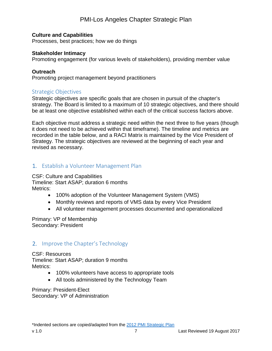## PMI-Los Angeles Chapter Strategic Plan

#### **Culture and Capabilities**

Processes, best practices; how we do things

#### **Stakeholder Intimacy**

Promoting engagement (for various levels of stakeholders), providing member value

#### **Outreach**

Promoting project management beyond practitioners

#### Strategic Objectives

Strategic objectives are specific goals that are chosen in pursuit of the chapter's strategy. The Board is limited to a maximum of 10 strategic objectives, and there should be at least one objective established within each of the critical success factors above.

Each objective must address a strategic need within the next three to five years (though it does not need to be achieved within that timeframe). The timeline and metrics are recorded in the table below, and a RACI Matrix is maintained by the Vice President of Strategy. The strategic objectives are reviewed at the beginning of each year and revised as necessary.

### 1. Establish a Volunteer Management Plan

CSF: Culture and Capabilities Timeline: Start ASAP; duration 6 months Metrics:

- 100% adoption of the Volunteer Management System (VMS)
- Monthly reviews and reports of VMS data by every Vice President
- All volunteer management processes documented and operationalized

Primary: VP of Membership Secondary: President

### 2. Improve the Chapter's Technology

CSF: Resources Timeline: Start ASAP; duration 9 months Metrics:

- 100% volunteers have access to appropriate tools
- All tools administered by the Technology Team

Primary: President-Elect Secondary: VP of Administration